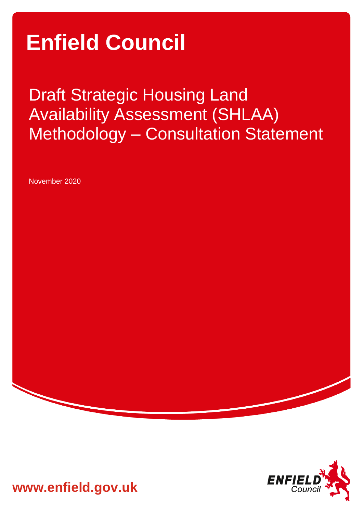# **Enfield Council**

Draft Strategic Housing Land Availability Assessment (SHLAA) Methodology – Consultation Statement

November 2020



**www.enfield.gov.uk**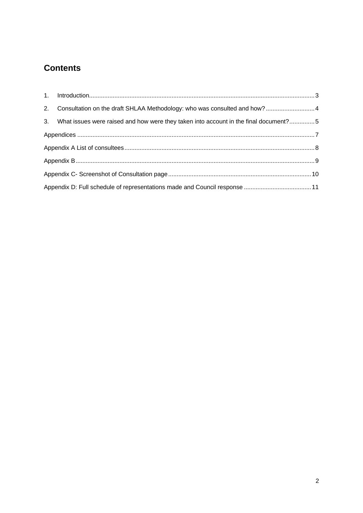# **Contents**

| 2. Consultation on the draft SHLAA Methodology: who was consulted and how? 4            |  |
|-----------------------------------------------------------------------------------------|--|
| 3. What issues were raised and how were they taken into account in the final document?5 |  |
|                                                                                         |  |
|                                                                                         |  |
|                                                                                         |  |
|                                                                                         |  |
|                                                                                         |  |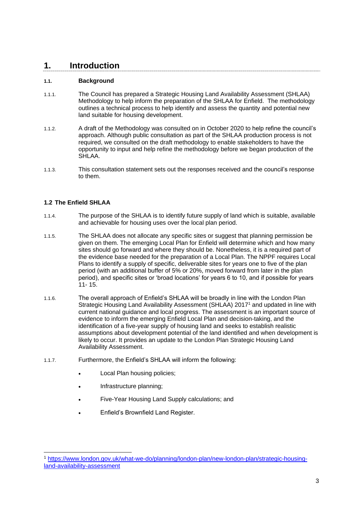## <span id="page-2-0"></span>**1. Introduction**

#### **1.1. Background**

- 1.1.1. The Council has prepared a Strategic Housing Land Availability Assessment (SHLAA) Methodology to help inform the preparation of the SHLAA for Enfield. The methodology outlines a technical process to help identify and assess the quantity and potential new land suitable for housing development.
- 1.1.2. A draft of the Methodology was consulted on in October 2020 to help refine the council's approach. Although public consultation as part of the SHLAA production process is not required, we consulted on the draft methodology to enable stakeholders to have the opportunity to input and help refine the methodology before we began production of the SHLAA.
- 1.1.3. This consultation statement sets out the responses received and the council's response to them.

### **1.2 The Enfield SHLAA**

- 1.1.4. The purpose of the SHLAA is to identify future supply of land which is suitable, available and achievable for housing uses over the local plan period.
- 1.1.5. The SHLAA does not allocate any specific sites or suggest that planning permission be given on them. The emerging Local Plan for Enfield will determine which and how many sites should go forward and where they should be. Nonetheless, it is a required part of the evidence base needed for the preparation of a Local Plan. The NPPF requires Local Plans to identify a supply of specific, deliverable sites for years one to five of the plan period (with an additional buffer of 5% or 20%, moved forward from later in the plan period), and specific sites or 'broad locations' for years 6 to 10, and if possible for years  $11 - 15$
- 1.1.6. The overall approach of Enfield's SHLAA will be broadly in line with the London Plan Strategic Housing Land Availability Assessment (SHLAA) 2017<sup>1</sup> and updated in line with current national guidance and local progress. The assessment is an important source of evidence to inform the emerging Enfield Local Plan and decision-taking, and the identification of a five-year supply of housing land and seeks to establish realistic assumptions about development potential of the land identified and when development is likely to occur. It provides an update to the London Plan Strategic Housing Land Availability Assessment.
- 1.1.7. Furthermore, the Enfield's SHLAA will inform the following:
	- Local Plan housing policies;
	- Infrastructure planning;
	- Five-Year Housing Land Supply calculations; and
	- Enfield's Brownfield Land Register.

<sup>1</sup> [https://www.london.gov.uk/what-we-do/planning/london-plan/new-london-plan/strategic-housing](https://www.london.gov.uk/what-we-do/planning/london-plan/new-london-plan/strategic-housing-land-availability-assessment)[land-availability-assessment](https://www.london.gov.uk/what-we-do/planning/london-plan/new-london-plan/strategic-housing-land-availability-assessment)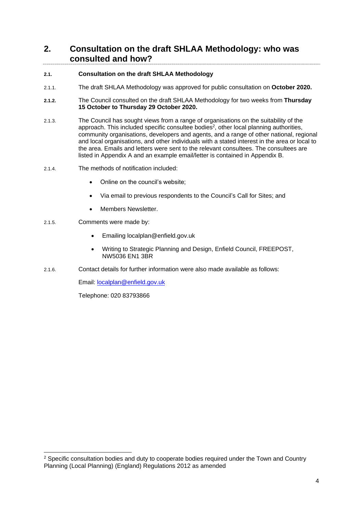## <span id="page-3-0"></span>**2. Consultation on the draft SHLAA Methodology: who was consulted and how?**

### **2.1. Consultation on the draft SHLAA Methodology**

- 2.1.1. The draft SHLAA Methodology was approved for public consultation on **October 2020.**
- **2.1.2.** The Council consulted on the draft SHLAA Methodology for two weeks from **Thursday 15 October to Thursday 29 October 2020.**
- 2.1.3. The Council has sought views from a range of organisations on the suitability of the approach. This included specific consultee bodies<sup>2</sup>, other local planning authorities, community organisations, developers and agents, and a range of other national, regional and local organisations, and other individuals with a stated interest in the area or local to the area. Emails and letters were sent to the relevant consultees. The consultees are listed in Appendix A and an example email/letter is contained in Appendix B.
- 2.1.4. The methods of notification included:
	- Online on the council's website;
	- Via email to previous respondents to the Council's Call for Sites; and
	- Members Newsletter.
- 2.1.5. Comments were made by:
	- Emailing localplan@enfield.gov.uk
	- Writing to Strategic Planning and Design, Enfield Council, FREEPOST, NW5036 EN1 3BR
- 2.1.6. Contact details for further information were also made available as follows:

Email: [localplan@enfield.gov.uk](mailto:localplan@enfield.gov.uk)

Telephone: 020 83793866

 $2$  Specific consultation bodies and duty to cooperate bodies required under the Town and Country Planning (Local Planning) (England) Regulations 2012 as amended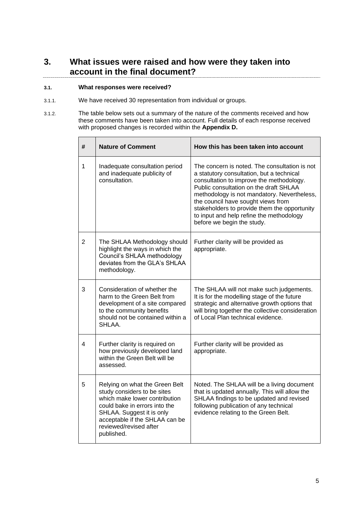## <span id="page-4-0"></span>**3. What issues were raised and how were they taken into account in the final document?**

#### **3.1. What responses were received?**

- 3.1.1. We have received 30 representation from individual or groups.
- 3.1.2. The table below sets out a summary of the nature of the comments received and how these comments have been taken into account. Full details of each response received with proposed changes is recorded within the **Appendix D.**

| #              | <b>Nature of Comment</b>                                                                                                                                                                                                               | How this has been taken into account                                                                                                                                                                                                                                                                                                                                                            |
|----------------|----------------------------------------------------------------------------------------------------------------------------------------------------------------------------------------------------------------------------------------|-------------------------------------------------------------------------------------------------------------------------------------------------------------------------------------------------------------------------------------------------------------------------------------------------------------------------------------------------------------------------------------------------|
| 1              | Inadequate consultation period<br>and inadequate publicity of<br>consultation.                                                                                                                                                         | The concern is noted. The consultation is not<br>a statutory consultation, but a technical<br>consultation to improve the methodology.<br>Public consultation on the draft SHLAA<br>methodology is not mandatory. Nevertheless,<br>the council have sought views from<br>stakeholders to provide them the opportunity<br>to input and help refine the methodology<br>before we begin the study. |
| $\overline{2}$ | The SHLAA Methodology should<br>highlight the ways in which the<br>Council's SHLAA methodology<br>deviates from the GLA's SHLAA<br>methodology.                                                                                        | Further clarity will be provided as<br>appropriate.                                                                                                                                                                                                                                                                                                                                             |
| 3              | Consideration of whether the<br>harm to the Green Belt from<br>development of a site compared<br>to the community benefits<br>should not be contained within a<br>SHLAA.                                                               | The SHLAA will not make such judgements.<br>It is for the modelling stage of the future<br>strategic and alternative growth options that<br>will bring together the collective consideration<br>of Local Plan technical evidence.                                                                                                                                                               |
| 4              | Further clarity is required on<br>how previously developed land<br>within the Green Belt will be<br>assessed.                                                                                                                          | Further clarity will be provided as<br>appropriate.                                                                                                                                                                                                                                                                                                                                             |
| 5              | Relying on what the Green Belt<br>study considers to be sites<br>which make lower contribution<br>could bake in errors into the<br>SHLAA. Suggest it is only<br>acceptable if the SHLAA can be<br>reviewed/revised after<br>published. | Noted. The SHLAA will be a living document<br>that is updated annually. This will allow the<br>SHLAA findings to be updated and revised<br>following publication of any technical<br>evidence relating to the Green Belt.                                                                                                                                                                       |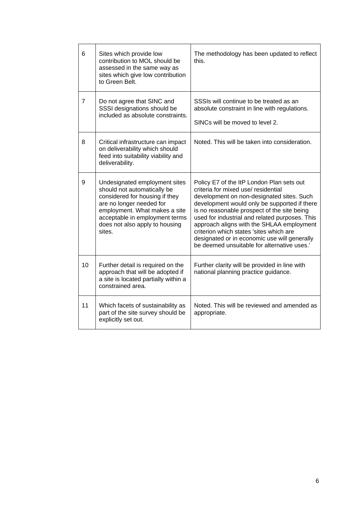| 6              | Sites which provide low<br>contribution to MOL should be<br>assessed in the same way as<br>sites which give low contribution<br>to Green Belt.                                                                                            | The methodology has been updated to reflect<br>this.                                                                                                                                                                                                                                                                                                                                                                                                                  |
|----------------|-------------------------------------------------------------------------------------------------------------------------------------------------------------------------------------------------------------------------------------------|-----------------------------------------------------------------------------------------------------------------------------------------------------------------------------------------------------------------------------------------------------------------------------------------------------------------------------------------------------------------------------------------------------------------------------------------------------------------------|
| $\overline{7}$ | Do not agree that SINC and<br>SSSI designations should be<br>included as absolute constraints.                                                                                                                                            | SSSIs will continue to be treated as an<br>absolute constraint in line with regulations.<br>SINCs will be moved to level 2.                                                                                                                                                                                                                                                                                                                                           |
| 8              | Critical infrastructure can impact<br>on deliverability which should<br>feed into suitability viability and<br>deliverability.                                                                                                            | Noted. This will be taken into consideration.                                                                                                                                                                                                                                                                                                                                                                                                                         |
| 9              | Undesignated employment sites<br>should not automatically be<br>considered for housing if they<br>are no longer needed for<br>employment. What makes a site<br>acceptable in employment terms<br>does not also apply to housing<br>sites. | Policy E7 of the ItP London Plan sets out<br>criteria for mixed use/ residential<br>development on non-designated sites. Such<br>development would only be supported if there<br>is no reasonable prospect of the site being<br>used for industrial and related purposes. This<br>approach aligns with the SHLAA employment<br>criterion which states 'sites which are<br>designated or in economic use will generally<br>be deemed unsuitable for alternative uses.' |
| 10             | Further detail is required on the<br>approach that will be adopted if<br>a site is located partially within a<br>constrained area.                                                                                                        | Further clarity will be provided in line with<br>national planning practice guidance.                                                                                                                                                                                                                                                                                                                                                                                 |
| 11             | Which facets of sustainability as<br>part of the site survey should be<br>explicitly set out.                                                                                                                                             | Noted. This will be reviewed and amended as<br>appropriate.                                                                                                                                                                                                                                                                                                                                                                                                           |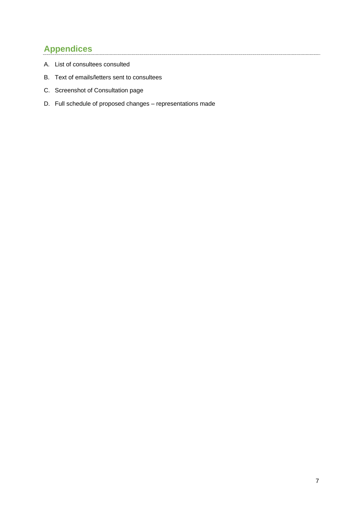# <span id="page-6-0"></span>**Appendices**

- A. List of consultees consulted
- B. Text of emails/letters sent to consultees
- C. Screenshot of Consultation page
- D. Full schedule of proposed changes representations made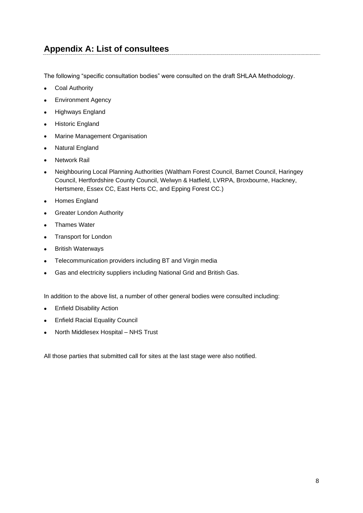# <span id="page-7-0"></span>**Appendix A: List of consultees**

The following "specific consultation bodies" were consulted on the draft SHLAA Methodology.

- Coal Authority
- Environment Agency
- Highways England
- Historic England
- Marine Management Organisation
- Natural England
- **Network Rail**
- Neighbouring Local Planning Authorities (Waltham Forest Council, Barnet Council, Haringey Council, Hertfordshire County Council, Welwyn & Hatfield, LVRPA, Broxbourne, Hackney, Hertsmere, Essex CC, East Herts CC, and Epping Forest CC.)
- Homes England
- Greater London Authority
- Thames Water
- Transport for London
- British Waterways
- Telecommunication providers including BT and Virgin media
- Gas and electricity suppliers including National Grid and British Gas.

In addition to the above list, a number of other general bodies were consulted including:

- Enfield Disability Action
- Enfield Racial Equality Council
- North Middlesex Hospital NHS Trust

All those parties that submitted call for sites at the last stage were also notified.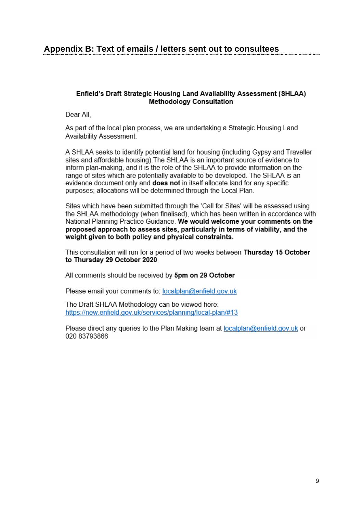## <span id="page-8-0"></span>**Appendix B: Text of emails / letters sent out to consultees**

## Enfield's Draft Strategic Housing Land Availability Assessment (SHLAA) **Methodology Consultation**

Dear All.

As part of the local plan process, we are undertaking a Strategic Housing Land Availability Assessment.

A SHLAA seeks to identify potential land for housing (including Gypsy and Traveller sites and affordable housing). The SHLAA is an important source of evidence to inform plan-making, and it is the role of the SHLAA to provide information on the range of sites which are potentially available to be developed. The SHLAA is an evidence document only and **does not** in itself allocate land for any specific purposes: allocations will be determined through the Local Plan.

Sites which have been submitted through the 'Call for Sites' will be assessed using the SHLAA methodology (when finalised), which has been written in accordance with National Planning Practice Guidance. We would welcome your comments on the proposed approach to assess sites, particularly in terms of viability, and the weight given to both policy and physical constraints.

This consultation will run for a period of two weeks between Thursday 15 October to Thursday 29 October 2020.

All comments should be received by 5pm on 29 October

Please email your comments to: localplan@enfield.gov.uk

The Draft SHLAA Methodology can be viewed here: https://new.enfield.gov.uk/services/planning/local-plan/#13

Please direct any queries to the Plan Making team at localplan@enfield.gov.uk or 020 83793866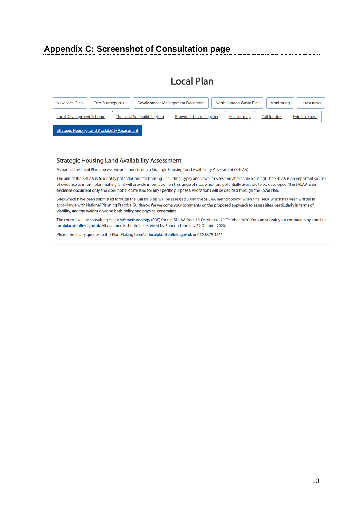## <span id="page-9-0"></span>**Appendix C: Screenshot of Consultation page**

# **Local Plan**

| New Local Plan                                        | North London Waste Plan<br>Development Management Document<br>Monitoring<br>Core Strategy 2010                      | Latest news |  |  |  |
|-------------------------------------------------------|---------------------------------------------------------------------------------------------------------------------|-------------|--|--|--|
| <b>Local Development Scheme</b>                       | The Local Self Build Register<br><b>Brownfield Land Register</b><br>Evidence base<br>Call for sites<br>Policies map |             |  |  |  |
| <b>Strategic Housing Land Availability Assessment</b> |                                                                                                                     |             |  |  |  |

#### **Strategic Housing Land Availability Assessment**

As part of the Local Plan process, we are undertaking a Strategic Housing Land Availability Assessment (SHLAA).

The aim of the SHLAA is to identify potential land for housing (including Gypsy and Traveller sites and affordable housing). The SHLAA is an important source of evidence to inform plan-making, and will provide information on the range of sites which are potentially available to be developed. The SHLAA is an evidence document only and does not allocate land for any specific purposes. Allocations will be decided through the Local Plan.

Sites which have been submitted through the Call for Sites will be assessed using the SHLAA methodology (when finalised), which has been written in accordance with National Planning Practice Guidance. We welcome your comments on the proposed approach to assess sites, particularly in terms of viability, and the weight given to both policy and physical constraints.

The council will be consulting on a draft methodology (PDF) for the SHLAA from 15 October to 29 October 2020. You can submit your comments by email to localplan@enfield.gov.uk. All comments should be received by 5pm on Thursday 29 October 2020.

Please direct any queries to the 'Plan Making team' at localplan@enfield.gov.uk or 020 8379 3866.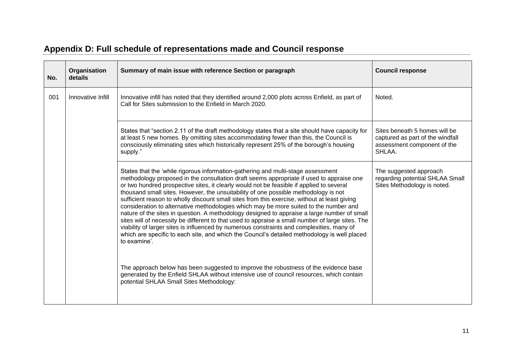<span id="page-10-0"></span>

| No. | Organisation<br>details | Summary of main issue with reference Section or paragraph                                                                                                                                                                                                                                                                                                                                                                                                                                                                                                                                                                                                                                                                                                                                                                                                                                                                                                                | <b>Council response</b>                                                                                    |
|-----|-------------------------|--------------------------------------------------------------------------------------------------------------------------------------------------------------------------------------------------------------------------------------------------------------------------------------------------------------------------------------------------------------------------------------------------------------------------------------------------------------------------------------------------------------------------------------------------------------------------------------------------------------------------------------------------------------------------------------------------------------------------------------------------------------------------------------------------------------------------------------------------------------------------------------------------------------------------------------------------------------------------|------------------------------------------------------------------------------------------------------------|
| 001 | Innovative Infill       | Innovative infill has noted that they identified around 2,000 plots across Enfield, as part of<br>Call for Sites submission to the Enfield in March 2020.                                                                                                                                                                                                                                                                                                                                                                                                                                                                                                                                                                                                                                                                                                                                                                                                                | Noted.                                                                                                     |
|     |                         | States that "section 2.11 of the draft methodology states that a site should have capacity for<br>at least 5 new homes. By omitting sites accommodating fewer than this, the Council is<br>consciously eliminating sites which historically represent 25% of the borough's housing<br>supply."                                                                                                                                                                                                                                                                                                                                                                                                                                                                                                                                                                                                                                                                           | Sites beneath 5 homes will be<br>captured as part of the windfall<br>assessment component of the<br>SHLAA. |
|     |                         | States that the 'while rigorous information-gathering and multi-stage assessment<br>methodology proposed in the consultation draft seems appropriate if used to appraise one<br>or two hundred prospective sites, it clearly would not be feasible if applied to several<br>thousand small sites. However, the unsuitability of one possible methodology is not<br>sufficient reason to wholly discount small sites from this exercise, without at least giving<br>consideration to alternative methodologies which may be more suited to the number and<br>nature of the sites in question. A methodology designed to appraise a large number of small<br>sites will of necessity be different to that used to appraise a small number of large sites. The<br>viability of larger sites is influenced by numerous constraints and complexities, many of<br>which are specific to each site, and which the Council's detailed methodology is well placed<br>to examine'. | The suggested approach<br>regarding potential SHLAA Small<br>Sites Methodology is noted.                   |
|     |                         | The approach below has been suggested to improve the robustness of the evidence base<br>generated by the Enfield SHLAA without intensive use of council resources, which contain<br>potential SHLAA Small Sites Methodology:                                                                                                                                                                                                                                                                                                                                                                                                                                                                                                                                                                                                                                                                                                                                             |                                                                                                            |

# **Appendix D: Full schedule of representations made and Council response**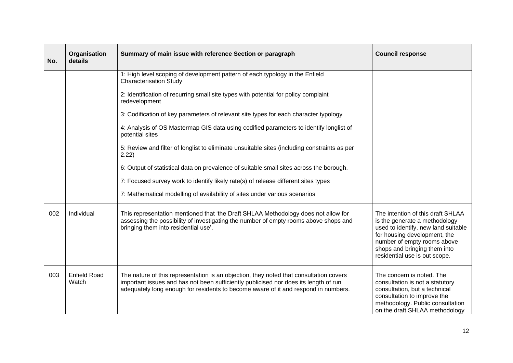| No. | Organisation<br>details      | Summary of main issue with reference Section or paragraph                                                                                                                                                                                                            | <b>Council response</b>                                                                                                                                                                                                                   |
|-----|------------------------------|----------------------------------------------------------------------------------------------------------------------------------------------------------------------------------------------------------------------------------------------------------------------|-------------------------------------------------------------------------------------------------------------------------------------------------------------------------------------------------------------------------------------------|
|     |                              | 1: High level scoping of development pattern of each typology in the Enfield<br><b>Characterisation Study</b>                                                                                                                                                        |                                                                                                                                                                                                                                           |
|     |                              | 2: Identification of recurring small site types with potential for policy complaint<br>redevelopment                                                                                                                                                                 |                                                                                                                                                                                                                                           |
|     |                              | 3: Codification of key parameters of relevant site types for each character typology                                                                                                                                                                                 |                                                                                                                                                                                                                                           |
|     |                              | 4: Analysis of OS Mastermap GIS data using codified parameters to identify longlist of<br>potential sites                                                                                                                                                            |                                                                                                                                                                                                                                           |
|     |                              | 5: Review and filter of longlist to eliminate unsuitable sites (including constraints as per<br>2.22                                                                                                                                                                 |                                                                                                                                                                                                                                           |
|     |                              | 6: Output of statistical data on prevalence of suitable small sites across the borough.                                                                                                                                                                              |                                                                                                                                                                                                                                           |
|     |                              | 7: Focused survey work to identify likely rate(s) of release different sites types                                                                                                                                                                                   |                                                                                                                                                                                                                                           |
|     |                              | 7: Mathematical modelling of availability of sites under various scenarios                                                                                                                                                                                           |                                                                                                                                                                                                                                           |
| 002 | Individual                   | This representation mentioned that 'the Draft SHLAA Methodology does not allow for<br>assessing the possibility of investigating the number of empty rooms above shops and<br>bringing them into residential use'.                                                   | The intention of this draft SHLAA<br>is the generate a methodology<br>used to identify, new land suitable<br>for housing development, the<br>number of empty rooms above<br>shops and bringing them into<br>residential use is out scope. |
| 003 | <b>Enfield Road</b><br>Watch | The nature of this representation is an objection, they noted that consultation covers<br>important issues and has not been sufficiently publicised nor does its length of run<br>adequately long enough for residents to become aware of it and respond in numbers. | The concern is noted. The<br>consultation is not a statutory<br>consultation, but a technical<br>consultation to improve the<br>methodology. Public consultation<br>on the draft SHLAA methodology                                        |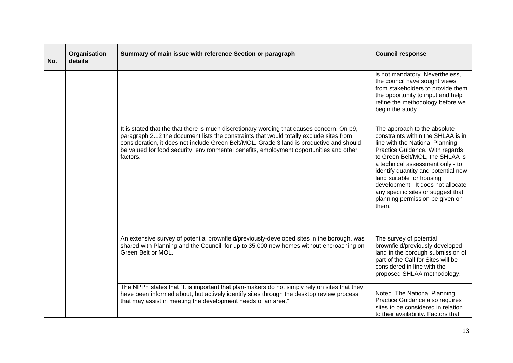| No. | Organisation<br>details | Summary of main issue with reference Section or paragraph                                                                                                                                                                                                                                                                                                                                | <b>Council response</b>                                                                                                                                                                                                                                                                                                                                                                                    |
|-----|-------------------------|------------------------------------------------------------------------------------------------------------------------------------------------------------------------------------------------------------------------------------------------------------------------------------------------------------------------------------------------------------------------------------------|------------------------------------------------------------------------------------------------------------------------------------------------------------------------------------------------------------------------------------------------------------------------------------------------------------------------------------------------------------------------------------------------------------|
|     |                         |                                                                                                                                                                                                                                                                                                                                                                                          | is not mandatory. Nevertheless,<br>the council have sought views<br>from stakeholders to provide them<br>the opportunity to input and help<br>refine the methodology before we<br>begin the study.                                                                                                                                                                                                         |
|     |                         | It is stated that the that there is much discretionary wording that causes concern. On p9,<br>paragraph 2.12 the document lists the constraints that would totally exclude sites from<br>consideration, it does not include Green Belt/MOL. Grade 3 land is productive and should<br>be valued for food security, environmental benefits, employment opportunities and other<br>factors. | The approach to the absolute<br>constraints within the SHLAA is in<br>line with the National Planning<br>Practice Guidance. With regards<br>to Green Belt/MOL, the SHLAA is<br>a technical assessment only - to<br>identify quantity and potential new<br>land suitable for housing<br>development. It does not allocate<br>any specific sites or suggest that<br>planning permission be given on<br>them. |
|     |                         | An extensive survey of potential brownfield/previously-developed sites in the borough, was<br>shared with Planning and the Council, for up to 35,000 new homes without encroaching on<br>Green Belt or MOL.                                                                                                                                                                              | The survey of potential<br>brownfield/previously developed<br>land in the borough submission of<br>part of the Call for Sites will be<br>considered in line with the<br>proposed SHLAA methodology.                                                                                                                                                                                                        |
|     |                         | The NPPF states that "It is important that plan-makers do not simply rely on sites that they<br>have been informed about, but actively identify sites through the desktop review process<br>that may assist in meeting the development needs of an area."                                                                                                                                | Noted. The National Planning<br>Practice Guidance also requires<br>sites to be considered in relation<br>to their availability. Factors that                                                                                                                                                                                                                                                               |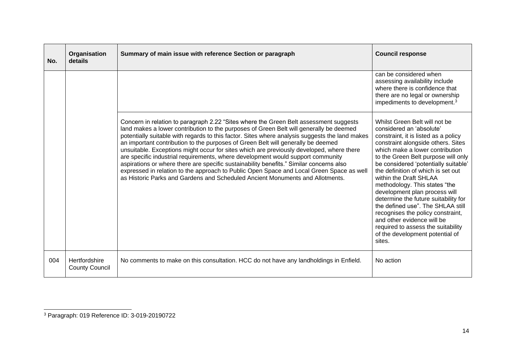| No. | Organisation<br>details                       | Summary of main issue with reference Section or paragraph                                                                                                                                                                                                                                                                                                                                                                                                                                                                                                                                                                                                                                                                                                                                                                    | <b>Council response</b>                                                                                                                                                                                                                                                                                                                                                                                                                                                                                                                                                                                                        |
|-----|-----------------------------------------------|------------------------------------------------------------------------------------------------------------------------------------------------------------------------------------------------------------------------------------------------------------------------------------------------------------------------------------------------------------------------------------------------------------------------------------------------------------------------------------------------------------------------------------------------------------------------------------------------------------------------------------------------------------------------------------------------------------------------------------------------------------------------------------------------------------------------------|--------------------------------------------------------------------------------------------------------------------------------------------------------------------------------------------------------------------------------------------------------------------------------------------------------------------------------------------------------------------------------------------------------------------------------------------------------------------------------------------------------------------------------------------------------------------------------------------------------------------------------|
|     |                                               |                                                                                                                                                                                                                                                                                                                                                                                                                                                                                                                                                                                                                                                                                                                                                                                                                              | can be considered when<br>assessing availability include<br>where there is confidence that<br>there are no legal or ownership<br>impediments to development. <sup>3</sup>                                                                                                                                                                                                                                                                                                                                                                                                                                                      |
|     |                                               | Concern in relation to paragraph 2.22 "Sites where the Green Belt assessment suggests<br>land makes a lower contribution to the purposes of Green Belt will generally be deemed<br>potentially suitable with regards to this factor. Sites where analysis suggests the land makes<br>an important contribution to the purposes of Green Belt will generally be deemed<br>unsuitable. Exceptions might occur for sites which are previously developed, where there<br>are specific industrial requirements, where development would support community<br>aspirations or where there are specific sustainability benefits." Similar concerns also<br>expressed in relation to the approach to Public Open Space and Local Green Space as well<br>as Historic Parks and Gardens and Scheduled Ancient Monuments and Allotments. | Whilst Green Belt will not be<br>considered an 'absolute'<br>constraint, it is listed as a policy<br>constraint alongside others. Sites<br>which make a lower contribution<br>to the Green Belt purpose will only<br>be considered 'potentially suitable'<br>the definition of which is set out<br>within the Draft SHLAA<br>methodology. This states "the<br>development plan process will<br>determine the future suitability for<br>the defined use". The SHLAA still<br>recognises the policy constraint,<br>and other evidence will be<br>required to assess the suitability<br>of the development potential of<br>sites. |
| 004 | <b>Hertfordshire</b><br><b>County Council</b> | No comments to make on this consultation. HCC do not have any landholdings in Enfield.                                                                                                                                                                                                                                                                                                                                                                                                                                                                                                                                                                                                                                                                                                                                       | No action                                                                                                                                                                                                                                                                                                                                                                                                                                                                                                                                                                                                                      |

<sup>3</sup> Paragraph: 019 Reference ID: 3-019-20190722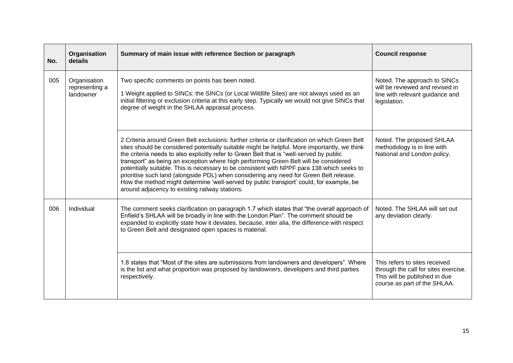| No. | Organisation<br>details                     | Summary of main issue with reference Section or paragraph                                                                                                                                                                                                                                                                                                                                                                                                                                                                                                                                                                                                                                                               | <b>Council response</b>                                                                                                                |
|-----|---------------------------------------------|-------------------------------------------------------------------------------------------------------------------------------------------------------------------------------------------------------------------------------------------------------------------------------------------------------------------------------------------------------------------------------------------------------------------------------------------------------------------------------------------------------------------------------------------------------------------------------------------------------------------------------------------------------------------------------------------------------------------------|----------------------------------------------------------------------------------------------------------------------------------------|
| 005 | Organisation<br>representing a<br>landowner | Two specific comments on points has been noted.<br>1 Weight applied to SINCs: the SINCs (or Local Wildlife Sites) are not always used as an<br>initial filtering or exclusion criteria at this early step. Typically we would not give SINCs that<br>degree of weight in the SHLAA appraisal process.                                                                                                                                                                                                                                                                                                                                                                                                                   | Noted. The approach to SINCs<br>will be reviewed and revised in<br>line with relevant guidance and<br>legislation.                     |
|     |                                             | 2 Criteria around Green Belt exclusions: further criteria or clarification on which Green Belt<br>sites should be considered potentially suitable might be helpful. More importantly, we think<br>the criteria needs to also explicitly refer to Green Belt that is "well-served by public<br>transport" as being an exception where high performing Green Belt will be considered<br>potentially suitable. This is necessary to be consistent with NPPF para 138 which seeks to<br>prioritise such land (alongside PDL) when considering any need for Green Belt release.<br>How the method might determine 'well-served by public transport' could, for example, be<br>around adjacency to existing railway stations. | Noted. The proposed SHLAA<br>methodology is in line with<br>National and London policy.                                                |
| 006 | Individual                                  | The comment seeks clarification on paragraph 1.7 which states that "the overall approach of<br>Enfield's SHLAA will be broadly in line with the London Plan". The comment should be<br>expanded to explicitly state how it deviates, because, inter alia, the difference with respect<br>to Green Belt and designated open spaces is material.                                                                                                                                                                                                                                                                                                                                                                          | Noted. The SHLAA will set out<br>any deviation clearly.                                                                                |
|     |                                             | 1.8 states that "Most of the sites are submissions from landowners and developers". Where<br>is the list and what proportion was proposed by landowners, developers and third parties<br>respectively.                                                                                                                                                                                                                                                                                                                                                                                                                                                                                                                  | This refers to sites received<br>through the call for sites exercise.<br>This will be published in due<br>course as part of the SHLAA. |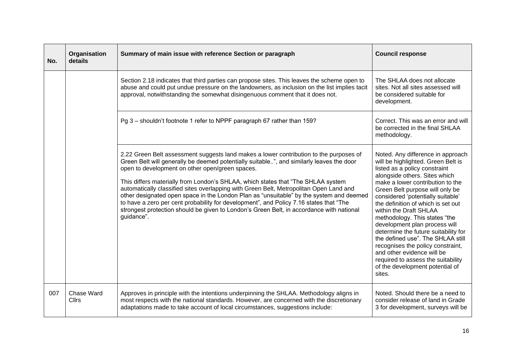| No. | Organisation<br>details | Summary of main issue with reference Section or paragraph                                                                                                                                                                                                                                                                                                                                                                                                                                                                                                                                                                                                                                                           | <b>Council response</b>                                                                                                                                                                                                                                                                                                                                                                                                                                                                                                                                                                                                    |
|-----|-------------------------|---------------------------------------------------------------------------------------------------------------------------------------------------------------------------------------------------------------------------------------------------------------------------------------------------------------------------------------------------------------------------------------------------------------------------------------------------------------------------------------------------------------------------------------------------------------------------------------------------------------------------------------------------------------------------------------------------------------------|----------------------------------------------------------------------------------------------------------------------------------------------------------------------------------------------------------------------------------------------------------------------------------------------------------------------------------------------------------------------------------------------------------------------------------------------------------------------------------------------------------------------------------------------------------------------------------------------------------------------------|
|     |                         | Section 2.18 indicates that third parties can propose sites. This leaves the scheme open to<br>abuse and could put undue pressure on the landowners, as inclusion on the list implies tacit<br>approval, notwithstanding the somewhat disingenuous comment that it does not.                                                                                                                                                                                                                                                                                                                                                                                                                                        | The SHLAA does not allocate<br>sites. Not all sites assessed will<br>be considered suitable for<br>development.                                                                                                                                                                                                                                                                                                                                                                                                                                                                                                            |
|     |                         | Pg 3 - shouldn't footnote 1 refer to NPPF paragraph 67 rather than 159?                                                                                                                                                                                                                                                                                                                                                                                                                                                                                                                                                                                                                                             | Correct. This was an error and will<br>be corrected in the final SHLAA<br>methodology.                                                                                                                                                                                                                                                                                                                                                                                                                                                                                                                                     |
|     |                         | 2.22 Green Belt assessment suggests land makes a lower contribution to the purposes of<br>Green Belt will generally be deemed potentially suitable", and similarly leaves the door<br>open to development on other open/green spaces.<br>This differs materially from London's SHLAA, which states that "The SHLAA system"<br>automatically classified sites overlapping with Green Belt, Metropolitan Open Land and<br>other designated open space in the London Plan as "unsuitable" by the system and deemed<br>to have a zero per cent probability for development", and Policy 7.16 states that "The<br>strongest protection should be given to London's Green Belt, in accordance with national<br>guidance". | Noted. Any difference in approach<br>will be highlighted. Green Belt is<br>listed as a policy constraint<br>alongside others. Sites which<br>make a lower contribution to the<br>Green Belt purpose will only be<br>considered 'potentially suitable'<br>the definition of which is set out<br>within the Draft SHLAA<br>methodology. This states "the<br>development plan process will<br>determine the future suitability for<br>the defined use". The SHLAA still<br>recognises the policy constraint,<br>and other evidence will be<br>required to assess the suitability<br>of the development potential of<br>sites. |
| 007 | Chase Ward<br>Cllrs     | Approves in principle with the intentions underpinning the SHLAA. Methodology aligns in<br>most respects with the national standards. However, are concerned with the discretionary<br>adaptations made to take account of local circumstances, suggestions include:                                                                                                                                                                                                                                                                                                                                                                                                                                                | Noted. Should there be a need to<br>consider release of land in Grade<br>3 for development, surveys will be                                                                                                                                                                                                                                                                                                                                                                                                                                                                                                                |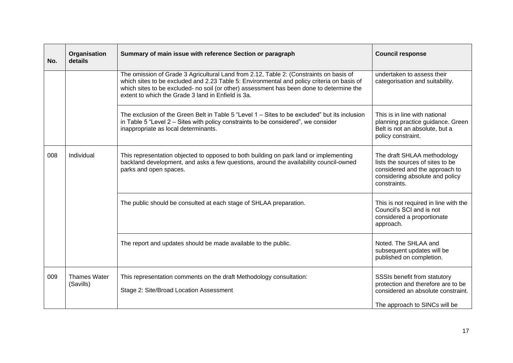| No. | Organisation<br>details          | Summary of main issue with reference Section or paragraph                                                                                                                                                                                                                                                                              | <b>Council response</b>                                                                                                                              |
|-----|----------------------------------|----------------------------------------------------------------------------------------------------------------------------------------------------------------------------------------------------------------------------------------------------------------------------------------------------------------------------------------|------------------------------------------------------------------------------------------------------------------------------------------------------|
|     |                                  | The omission of Grade 3 Agricultural Land from 2.12, Table 2: (Constraints on basis of<br>which sites to be excluded and 2.23 Table 5: Environmental and policy criteria on basis of<br>which sites to be excluded- no soil (or other) assessment has been done to determine the<br>extent to which the Grade 3 land in Enfield is 3a. | undertaken to assess their<br>categorisation and suitability.                                                                                        |
|     |                                  | The exclusion of the Green Belt in Table 5 "Level $1 -$ Sites to be excluded" but its inclusion<br>in Table 5 "Level 2 – Sites with policy constraints to be considered", we consider<br>inappropriate as local determinants.                                                                                                          | This is in line with national<br>planning practice guidance. Green<br>Belt is not an absolute, but a<br>policy constraint.                           |
| 008 | Individual                       | This representation objected to opposed to both building on park land or implementing<br>backland development, and asks a few questions, around the availability council-owned<br>parks and open spaces.                                                                                                                               | The draft SHLAA methodology<br>lists the sources of sites to be<br>considered and the approach to<br>considering absolute and policy<br>constraints. |
|     |                                  | The public should be consulted at each stage of SHLAA preparation.                                                                                                                                                                                                                                                                     | This is not required in line with the<br>Council's SCI and is not<br>considered a proportionate<br>approach.                                         |
|     |                                  | The report and updates should be made available to the public.                                                                                                                                                                                                                                                                         | Noted. The SHLAA and<br>subsequent updates will be<br>published on completion.                                                                       |
| 009 | <b>Thames Water</b><br>(Savills) | This representation comments on the draft Methodology consultation:<br>Stage 2: Site/Broad Location Assessment                                                                                                                                                                                                                         | SSSIs benefit from statutory<br>protection and therefore are to be<br>considered an absolute constraint.<br>The approach to SINCs will be            |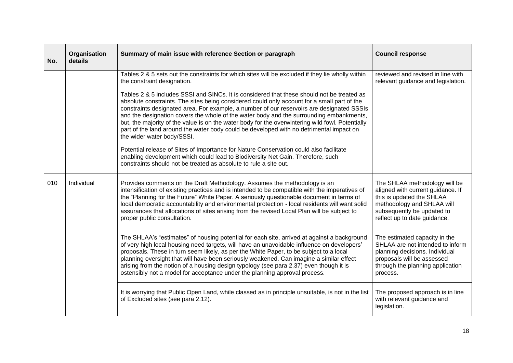| No. | Organisation<br>details | Summary of main issue with reference Section or paragraph                                                                                                                                                                                                                                                                                                                                                                                                                                                                                                                                                                                                                                                                                                                                                                                                                                                                                                                                           | <b>Council response</b>                                                                                                                                                                     |
|-----|-------------------------|-----------------------------------------------------------------------------------------------------------------------------------------------------------------------------------------------------------------------------------------------------------------------------------------------------------------------------------------------------------------------------------------------------------------------------------------------------------------------------------------------------------------------------------------------------------------------------------------------------------------------------------------------------------------------------------------------------------------------------------------------------------------------------------------------------------------------------------------------------------------------------------------------------------------------------------------------------------------------------------------------------|---------------------------------------------------------------------------------------------------------------------------------------------------------------------------------------------|
|     |                         | Tables 2 & 5 sets out the constraints for which sites will be excluded if they lie wholly within<br>the constraint designation.<br>Tables 2 & 5 includes SSSI and SINCs. It is considered that these should not be treated as<br>absolute constraints. The sites being considered could only account for a small part of the<br>constraints designated area. For example, a number of our reservoirs are designated SSSIs<br>and the designation covers the whole of the water body and the surrounding embankments,<br>but, the majority of the value is on the water body for the overwintering wild fowl. Potentially<br>part of the land around the water body could be developed with no detrimental impact on<br>the wider water body/SSSI.<br>Potential release of Sites of Importance for Nature Conservation could also facilitate<br>enabling development which could lead to Biodiversity Net Gain. Therefore, such<br>constraints should not be treated as absolute to rule a site out. | reviewed and revised in line with<br>relevant guidance and legislation.                                                                                                                     |
| 010 | Individual              | Provides comments on the Draft Methodology. Assumes the methodology is an<br>intensification of existing practices and is intended to be compatible with the imperatives of<br>the "Planning for the Future" White Paper. A seriously questionable document in terms of<br>local democratic accountability and environmental protection - local residents will want solid<br>assurances that allocations of sites arising from the revised Local Plan will be subject to<br>proper public consultation.                                                                                                                                                                                                                                                                                                                                                                                                                                                                                             | The SHLAA methodology will be<br>aligned with current guidance. If<br>this is updated the SHLAA<br>methodology and SHLAA will<br>subsequently be updated to<br>reflect up to date guidance. |
|     |                         | The SHLAA's "estimates" of housing potential for each site, arrived at against a background<br>of very high local housing need targets, will have an unavoidable influence on developers'<br>proposals. These in turn seem likely, as per the White Paper, to be subject to a local<br>planning oversight that will have been seriously weakened. Can imagine a similar effect<br>arising from the notion of a housing design typology (see para 2.37) even though it is<br>ostensibly not a model for acceptance under the planning approval process.                                                                                                                                                                                                                                                                                                                                                                                                                                              | The estimated capacity in the<br>SHLAA are not intended to inform<br>planning decisions. Individual<br>proposals will be assessed<br>through the planning application<br>process.           |
|     |                         | It is worrying that Public Open Land, while classed as in principle unsuitable, is not in the list<br>of Excluded sites (see para 2.12).                                                                                                                                                                                                                                                                                                                                                                                                                                                                                                                                                                                                                                                                                                                                                                                                                                                            | The proposed approach is in line<br>with relevant guidance and<br>legislation.                                                                                                              |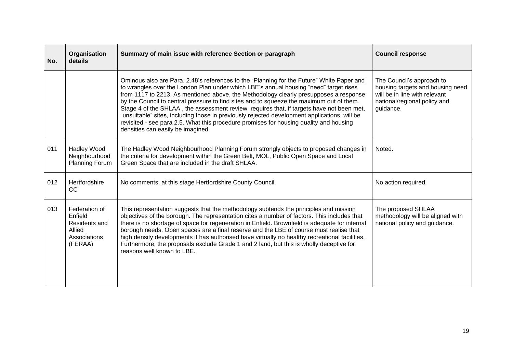| No. | Organisation<br>details                                                        | Summary of main issue with reference Section or paragraph                                                                                                                                                                                                                                                                                                                                                                                                                                                                                                                                                                                                                                           | <b>Council response</b>                                                                                                                     |
|-----|--------------------------------------------------------------------------------|-----------------------------------------------------------------------------------------------------------------------------------------------------------------------------------------------------------------------------------------------------------------------------------------------------------------------------------------------------------------------------------------------------------------------------------------------------------------------------------------------------------------------------------------------------------------------------------------------------------------------------------------------------------------------------------------------------|---------------------------------------------------------------------------------------------------------------------------------------------|
|     |                                                                                | Ominous also are Para. 2.48's references to the "Planning for the Future" White Paper and<br>to wrangles over the London Plan under which LBE's annual housing "need" target rises<br>from 1117 to 2213. As mentioned above, the Methodology clearly presupposes a response<br>by the Council to central pressure to find sites and to squeeze the maximum out of them.<br>Stage 4 of the SHLAA, the assessment review, requires that, if targets have not been met,<br>"unsuitable" sites, including those in previously rejected development applications, will be<br>revisited - see para 2.5. What this procedure promises for housing quality and housing<br>densities can easily be imagined. | The Council's approach to<br>housing targets and housing need<br>will be in line with relevant<br>national/regional policy and<br>guidance. |
| 011 | <b>Hadley Wood</b><br>Neighbourhood<br><b>Planning Forum</b>                   | The Hadley Wood Neighbourhood Planning Forum strongly objects to proposed changes in<br>the criteria for development within the Green Belt, MOL, Public Open Space and Local<br>Green Space that are included in the draft SHLAA.                                                                                                                                                                                                                                                                                                                                                                                                                                                                   | Noted.                                                                                                                                      |
| 012 | Hertfordshire<br><b>CC</b>                                                     | No comments, at this stage Hertfordshire County Council.                                                                                                                                                                                                                                                                                                                                                                                                                                                                                                                                                                                                                                            | No action required.                                                                                                                         |
| 013 | Federation of<br>Enfield<br>Residents and<br>Allied<br>Associations<br>(FERAA) | This representation suggests that the methodology subtends the principles and mission<br>objectives of the borough. The representation cites a number of factors. This includes that<br>there is no shortage of space for regeneration in Enfield. Brownfield is adequate for internal<br>borough needs. Open spaces are a final reserve and the LBE of course must realise that<br>high density developments it has authorised have virtually no healthy recreational facilities.<br>Furthermore, the proposals exclude Grade 1 and 2 land, but this is wholly deceptive for<br>reasons well known to LBE.                                                                                         | The proposed SHLAA<br>methodology will be aligned with<br>national policy and guidance.                                                     |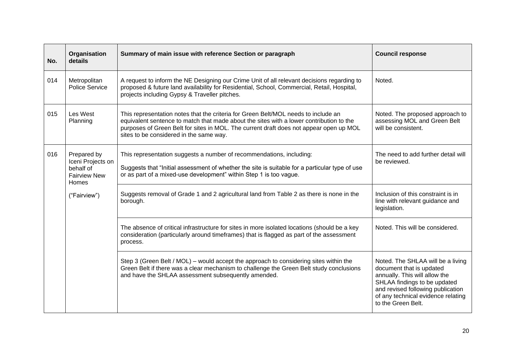| No. | Organisation<br>details                                                              | Summary of main issue with reference Section or paragraph                                                                                                                                                                                                                                                          | <b>Council response</b>                                                                                                                                                                                                         |
|-----|--------------------------------------------------------------------------------------|--------------------------------------------------------------------------------------------------------------------------------------------------------------------------------------------------------------------------------------------------------------------------------------------------------------------|---------------------------------------------------------------------------------------------------------------------------------------------------------------------------------------------------------------------------------|
| 014 | Metropolitan<br>Police Service                                                       | A request to inform the NE Designing our Crime Unit of all relevant decisions regarding to<br>proposed & future land availability for Residential, School, Commercial, Retail, Hospital,<br>projects including Gypsy & Traveller pitches.                                                                          | Noted.                                                                                                                                                                                                                          |
| 015 | Les West<br>Planning                                                                 | This representation notes that the criteria for Green Belt/MOL needs to include an<br>equivalent sentence to match that made about the sites with a lower contribution to the<br>purposes of Green Belt for sites in MOL. The current draft does not appear open up MOL<br>sites to be considered in the same way. | Noted. The proposed approach to<br>assessing MOL and Green Belt<br>will be consistent.                                                                                                                                          |
| 016 | Prepared by<br>Iceni Projects on<br>behalf of<br><b>Fairview New</b><br><b>Homes</b> | This representation suggests a number of recommendations, including:<br>Suggests that "Initial assessment of whether the site is suitable for a particular type of use<br>or as part of a mixed-use development" within Step 1 is too vague.                                                                       | The need to add further detail will<br>be reviewed.                                                                                                                                                                             |
|     | ("Fairview")                                                                         | Suggests removal of Grade 1 and 2 agricultural land from Table 2 as there is none in the<br>borough.                                                                                                                                                                                                               | Inclusion of this constraint is in<br>line with relevant guidance and<br>legislation.                                                                                                                                           |
|     |                                                                                      | The absence of critical infrastructure for sites in more isolated locations (should be a key<br>consideration (particularly around timeframes) that is flagged as part of the assessment<br>process.                                                                                                               | Noted. This will be considered.                                                                                                                                                                                                 |
|     |                                                                                      | Step 3 (Green Belt / MOL) – would accept the approach to considering sites within the<br>Green Belt if there was a clear mechanism to challenge the Green Belt study conclusions<br>and have the SHLAA assessment subsequently amended.                                                                            | Noted. The SHLAA will be a living<br>document that is updated<br>annually. This will allow the<br>SHLAA findings to be updated<br>and revised following publication<br>of any technical evidence relating<br>to the Green Belt. |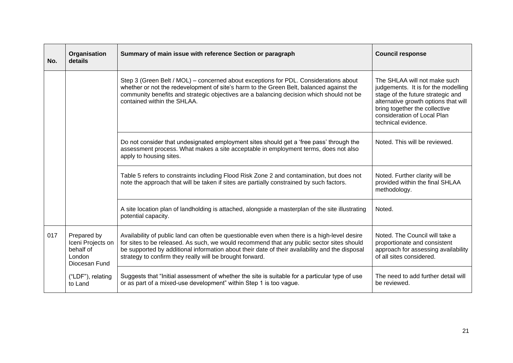| No. | Organisation<br>details                                                  | Summary of main issue with reference Section or paragraph                                                                                                                                                                                                                                                                                               | <b>Council response</b>                                                                                                                                                                                                                 |
|-----|--------------------------------------------------------------------------|---------------------------------------------------------------------------------------------------------------------------------------------------------------------------------------------------------------------------------------------------------------------------------------------------------------------------------------------------------|-----------------------------------------------------------------------------------------------------------------------------------------------------------------------------------------------------------------------------------------|
|     |                                                                          | Step 3 (Green Belt / MOL) – concerned about exceptions for PDL. Considerations about<br>whether or not the redevelopment of site's harm to the Green Belt, balanced against the<br>community benefits and strategic objectives are a balancing decision which should not be<br>contained within the SHLAA.                                              | The SHLAA will not make such<br>judgements. It is for the modelling<br>stage of the future strategic and<br>alternative growth options that will<br>bring together the collective<br>consideration of Local Plan<br>technical evidence. |
|     |                                                                          | Do not consider that undesignated employment sites should get a 'free pass' through the<br>assessment process. What makes a site acceptable in employment terms, does not also<br>apply to housing sites.                                                                                                                                               | Noted. This will be reviewed.                                                                                                                                                                                                           |
|     |                                                                          | Table 5 refers to constraints including Flood Risk Zone 2 and contamination, but does not<br>note the approach that will be taken if sites are partially constrained by such factors.                                                                                                                                                                   | Noted. Further clarity will be<br>provided within the final SHLAA<br>methodology.                                                                                                                                                       |
|     |                                                                          | A site location plan of landholding is attached, alongside a masterplan of the site illustrating<br>potential capacity.                                                                                                                                                                                                                                 | Noted.                                                                                                                                                                                                                                  |
| 017 | Prepared by<br>Iceni Projects on<br>behalf of<br>London<br>Diocesan Fund | Availability of public land can often be questionable even when there is a high-level desire<br>for sites to be released. As such, we would recommend that any public sector sites should<br>be supported by additional information about their date of their availability and the disposal<br>strategy to confirm they really will be brought forward. | Noted. The Council will take a<br>proportionate and consistent<br>approach for assessing availability<br>of all sites considered.                                                                                                       |
|     | ("LDF"), relating<br>to Land                                             | Suggests that "Initial assessment of whether the site is suitable for a particular type of use<br>or as part of a mixed-use development" within Step 1 is too vague.                                                                                                                                                                                    | The need to add further detail will<br>be reviewed.                                                                                                                                                                                     |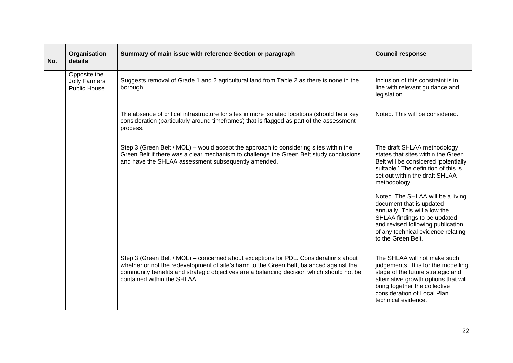| No. | Organisation<br>details                                     | Summary of main issue with reference Section or paragraph                                                                                                                                                                                                                                                  | <b>Council response</b>                                                                                                                                                                                                                 |                                                                                                                                                                                                     |
|-----|-------------------------------------------------------------|------------------------------------------------------------------------------------------------------------------------------------------------------------------------------------------------------------------------------------------------------------------------------------------------------------|-----------------------------------------------------------------------------------------------------------------------------------------------------------------------------------------------------------------------------------------|-----------------------------------------------------------------------------------------------------------------------------------------------------------------------------------------------------|
|     | Opposite the<br><b>Jolly Farmers</b><br><b>Public House</b> | Suggests removal of Grade 1 and 2 agricultural land from Table 2 as there is none in the<br>borough.                                                                                                                                                                                                       | Inclusion of this constraint is in<br>line with relevant guidance and<br>legislation.                                                                                                                                                   |                                                                                                                                                                                                     |
|     |                                                             | The absence of critical infrastructure for sites in more isolated locations (should be a key<br>consideration (particularly around timeframes) that is flagged as part of the assessment<br>process.                                                                                                       | Noted. This will be considered.                                                                                                                                                                                                         |                                                                                                                                                                                                     |
|     |                                                             |                                                                                                                                                                                                                                                                                                            | Step 3 (Green Belt / MOL) – would accept the approach to considering sites within the<br>Green Belt if there was a clear mechanism to challenge the Green Belt study conclusions<br>and have the SHLAA assessment subsequently amended. | The draft SHLAA methodology<br>states that sites within the Green<br>Belt will be considered 'potentially<br>suitable.' The definition of this is<br>set out within the draft SHLAA<br>methodology. |
|     |                                                             |                                                                                                                                                                                                                                                                                                            | Noted. The SHLAA will be a living<br>document that is updated<br>annually. This will allow the<br>SHLAA findings to be updated<br>and revised following publication<br>of any technical evidence relating<br>to the Green Belt.         |                                                                                                                                                                                                     |
|     |                                                             | Step 3 (Green Belt / MOL) – concerned about exceptions for PDL. Considerations about<br>whether or not the redevelopment of site's harm to the Green Belt, balanced against the<br>community benefits and strategic objectives are a balancing decision which should not be<br>contained within the SHLAA. | The SHLAA will not make such<br>judgements. It is for the modelling<br>stage of the future strategic and<br>alternative growth options that will<br>bring together the collective<br>consideration of Local Plan<br>technical evidence. |                                                                                                                                                                                                     |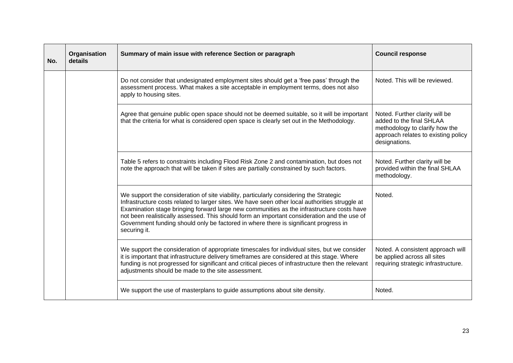| No. | Organisation<br>details | Summary of main issue with reference Section or paragraph                                                                                                                                                                                                                                                                                                                                                                                                                                    | <b>Council response</b>                                                                                                                              |
|-----|-------------------------|----------------------------------------------------------------------------------------------------------------------------------------------------------------------------------------------------------------------------------------------------------------------------------------------------------------------------------------------------------------------------------------------------------------------------------------------------------------------------------------------|------------------------------------------------------------------------------------------------------------------------------------------------------|
|     |                         | Do not consider that undesignated employment sites should get a 'free pass' through the<br>assessment process. What makes a site acceptable in employment terms, does not also<br>apply to housing sites.                                                                                                                                                                                                                                                                                    | Noted. This will be reviewed.                                                                                                                        |
|     |                         | Agree that genuine public open space should not be deemed suitable, so it will be important<br>that the criteria for what is considered open space is clearly set out in the Methodology.                                                                                                                                                                                                                                                                                                    | Noted. Further clarity will be<br>added to the final SHLAA<br>methodology to clarify how the<br>approach relates to existing policy<br>designations. |
|     |                         | Table 5 refers to constraints including Flood Risk Zone 2 and contamination, but does not<br>note the approach that will be taken if sites are partially constrained by such factors.                                                                                                                                                                                                                                                                                                        | Noted. Further clarity will be<br>provided within the final SHLAA<br>methodology.                                                                    |
|     |                         | We support the consideration of site viability, particularly considering the Strategic<br>Infrastructure costs related to larger sites. We have seen other local authorities struggle at<br>Examination stage bringing forward large new communities as the infrastructure costs have<br>not been realistically assessed. This should form an important consideration and the use of<br>Government funding should only be factored in where there is significant progress in<br>securing it. | Noted.                                                                                                                                               |
|     |                         | We support the consideration of appropriate timescales for individual sites, but we consider<br>it is important that infrastructure delivery timeframes are considered at this stage. Where<br>funding is not progressed for significant and critical pieces of infrastructure then the relevant<br>adjustments should be made to the site assessment.                                                                                                                                       | Noted. A consistent approach will<br>be applied across all sites<br>requiring strategic infrastructure.                                              |
|     |                         | We support the use of masterplans to guide assumptions about site density.                                                                                                                                                                                                                                                                                                                                                                                                                   | Noted.                                                                                                                                               |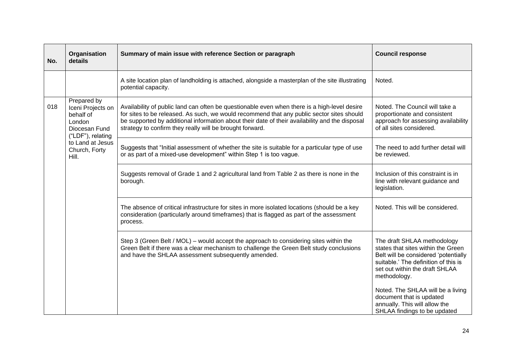| No. | Organisation<br>details                                                                                                                     | Summary of main issue with reference Section or paragraph                                                                                                                                                                                                                                                                                               | <b>Council response</b>                                                                                                                                                                             |
|-----|---------------------------------------------------------------------------------------------------------------------------------------------|---------------------------------------------------------------------------------------------------------------------------------------------------------------------------------------------------------------------------------------------------------------------------------------------------------------------------------------------------------|-----------------------------------------------------------------------------------------------------------------------------------------------------------------------------------------------------|
|     |                                                                                                                                             | A site location plan of landholding is attached, alongside a masterplan of the site illustrating<br>potential capacity.                                                                                                                                                                                                                                 | Noted.                                                                                                                                                                                              |
| 018 | Prepared by<br>Iceni Projects on<br>behalf of<br>London<br>Diocesan Fund<br>("LDF"), relating<br>to Land at Jesus<br>Church, Forty<br>Hill. | Availability of public land can often be questionable even when there is a high-level desire<br>for sites to be released. As such, we would recommend that any public sector sites should<br>be supported by additional information about their date of their availability and the disposal<br>strategy to confirm they really will be brought forward. | Noted. The Council will take a<br>proportionate and consistent<br>approach for assessing availability<br>of all sites considered.                                                                   |
|     |                                                                                                                                             | Suggests that "Initial assessment of whether the site is suitable for a particular type of use<br>or as part of a mixed-use development" within Step 1 is too vague.                                                                                                                                                                                    | The need to add further detail will<br>be reviewed.                                                                                                                                                 |
|     |                                                                                                                                             | Suggests removal of Grade 1 and 2 agricultural land from Table 2 as there is none in the<br>borough.                                                                                                                                                                                                                                                    | Inclusion of this constraint is in<br>line with relevant guidance and<br>legislation.                                                                                                               |
|     |                                                                                                                                             | The absence of critical infrastructure for sites in more isolated locations (should be a key<br>consideration (particularly around timeframes) that is flagged as part of the assessment<br>process.                                                                                                                                                    | Noted. This will be considered.                                                                                                                                                                     |
|     |                                                                                                                                             | Step 3 (Green Belt / MOL) – would accept the approach to considering sites within the<br>Green Belt if there was a clear mechanism to challenge the Green Belt study conclusions<br>and have the SHLAA assessment subsequently amended.                                                                                                                 | The draft SHLAA methodology<br>states that sites within the Green<br>Belt will be considered 'potentially<br>suitable.' The definition of this is<br>set out within the draft SHLAA<br>methodology. |
|     |                                                                                                                                             |                                                                                                                                                                                                                                                                                                                                                         | Noted. The SHLAA will be a living<br>document that is updated<br>annually. This will allow the<br>SHLAA findings to be updated                                                                      |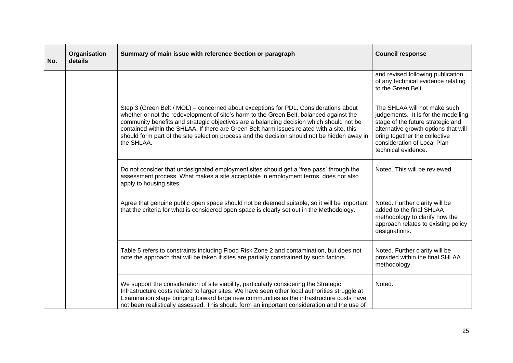| No. | Organisation<br>details | Summary of main issue with reference Section or paragraph                                                                                                                                                                                                                                                                                                                                                                                                                              | <b>Council response</b>                                                                                                                                                                                                                 |
|-----|-------------------------|----------------------------------------------------------------------------------------------------------------------------------------------------------------------------------------------------------------------------------------------------------------------------------------------------------------------------------------------------------------------------------------------------------------------------------------------------------------------------------------|-----------------------------------------------------------------------------------------------------------------------------------------------------------------------------------------------------------------------------------------|
|     |                         |                                                                                                                                                                                                                                                                                                                                                                                                                                                                                        | and revised following publication<br>of any technical evidence relating<br>to the Green Belt.                                                                                                                                           |
|     |                         | Step 3 (Green Belt / MOL) – concerned about exceptions for PDL. Considerations about<br>whether or not the redevelopment of site's harm to the Green Belt, balanced against the<br>community benefits and strategic objectives are a balancing decision which should not be<br>contained within the SHLAA. If there are Green Belt harm issues related with a site, this<br>should form part of the site selection process and the decision should not be hidden away in<br>the SHLAA. | The SHLAA will not make such<br>judgements. It is for the modelling<br>stage of the future strategic and<br>alternative growth options that will<br>bring together the collective<br>consideration of Local Plan<br>technical evidence. |
|     |                         | Do not consider that undesignated employment sites should get a 'free pass' through the<br>assessment process. What makes a site acceptable in employment terms, does not also<br>apply to housing sites.                                                                                                                                                                                                                                                                              | Noted. This will be reviewed.                                                                                                                                                                                                           |
|     |                         | Agree that genuine public open space should not be deemed suitable, so it will be important<br>that the criteria for what is considered open space is clearly set out in the Methodology.                                                                                                                                                                                                                                                                                              | Noted. Further clarity will be<br>added to the final SHLAA<br>methodology to clarify how the<br>approach relates to existing policy<br>designations.                                                                                    |
|     |                         | Table 5 refers to constraints including Flood Risk Zone 2 and contamination, but does not<br>note the approach that will be taken if sites are partially constrained by such factors.                                                                                                                                                                                                                                                                                                  | Noted. Further clarity will be<br>provided within the final SHLAA<br>methodology.                                                                                                                                                       |
|     |                         | We support the consideration of site viability, particularly considering the Strategic<br>Infrastructure costs related to larger sites. We have seen other local authorities struggle at<br>Examination stage bringing forward large new communities as the infrastructure costs have<br>not been realistically assessed. This should form an important consideration and the use of                                                                                                   | Noted.                                                                                                                                                                                                                                  |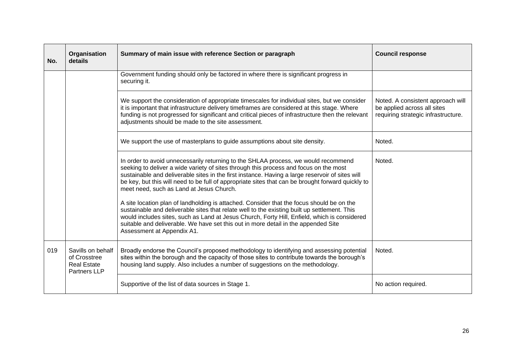| No. | Organisation<br>details                                                 | Summary of main issue with reference Section or paragraph                                                                                                                                                                                                                                                                                                                                                                       | <b>Council response</b>                                                                                 |
|-----|-------------------------------------------------------------------------|---------------------------------------------------------------------------------------------------------------------------------------------------------------------------------------------------------------------------------------------------------------------------------------------------------------------------------------------------------------------------------------------------------------------------------|---------------------------------------------------------------------------------------------------------|
|     |                                                                         | Government funding should only be factored in where there is significant progress in<br>securing it.                                                                                                                                                                                                                                                                                                                            |                                                                                                         |
|     |                                                                         | We support the consideration of appropriate timescales for individual sites, but we consider<br>it is important that infrastructure delivery timeframes are considered at this stage. Where<br>funding is not progressed for significant and critical pieces of infrastructure then the relevant<br>adjustments should be made to the site assessment.                                                                          | Noted. A consistent approach will<br>be applied across all sites<br>requiring strategic infrastructure. |
|     |                                                                         | We support the use of masterplans to guide assumptions about site density.                                                                                                                                                                                                                                                                                                                                                      | Noted.                                                                                                  |
|     |                                                                         | In order to avoid unnecessarily returning to the SHLAA process, we would recommend<br>seeking to deliver a wide variety of sites through this process and focus on the most<br>sustainable and deliverable sites in the first instance. Having a large reservoir of sites will<br>be key, but this will need to be full of appropriate sites that can be brought forward quickly to<br>meet need, such as Land at Jesus Church. | Noted.                                                                                                  |
|     |                                                                         | A site location plan of landholding is attached. Consider that the focus should be on the<br>sustainable and deliverable sites that relate well to the existing built up settlement. This<br>would includes sites, such as Land at Jesus Church, Forty Hill, Enfield, which is considered<br>suitable and deliverable. We have set this out in more detail in the appended Site<br>Assessment at Appendix A1.                   |                                                                                                         |
| 019 | Savills on behalf<br>of Crosstree<br><b>Real Estate</b><br>Partners LLP | Broadly endorse the Council's proposed methodology to identifying and assessing potential<br>sites within the borough and the capacity of those sites to contribute towards the borough's<br>housing land supply. Also includes a number of suggestions on the methodology.                                                                                                                                                     | Noted.                                                                                                  |
|     |                                                                         | Supportive of the list of data sources in Stage 1.                                                                                                                                                                                                                                                                                                                                                                              | No action required.                                                                                     |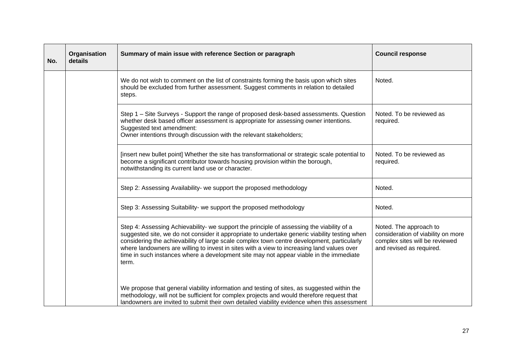| No. | Organisation<br>details | Summary of main issue with reference Section or paragraph                                                                                                                                                                                                                                                                                                                                                                                                                                 | <b>Council response</b>                                                                                                    |
|-----|-------------------------|-------------------------------------------------------------------------------------------------------------------------------------------------------------------------------------------------------------------------------------------------------------------------------------------------------------------------------------------------------------------------------------------------------------------------------------------------------------------------------------------|----------------------------------------------------------------------------------------------------------------------------|
|     |                         | We do not wish to comment on the list of constraints forming the basis upon which sites<br>should be excluded from further assessment. Suggest comments in relation to detailed<br>steps.                                                                                                                                                                                                                                                                                                 | Noted.                                                                                                                     |
|     |                         | Step 1 – Site Surveys - Support the range of proposed desk-based assessments. Question<br>whether desk based officer assessment is appropriate for assessing owner intentions.<br>Suggested text amendment:<br>Owner intentions through discussion with the relevant stakeholders;                                                                                                                                                                                                        | Noted. To be reviewed as<br>required.                                                                                      |
|     |                         | [insert new bullet point] Whether the site has transformational or strategic scale potential to<br>become a significant contributor towards housing provision within the borough,<br>notwithstanding its current land use or character.                                                                                                                                                                                                                                                   | Noted. To be reviewed as<br>required.                                                                                      |
|     |                         | Step 2: Assessing Availability- we support the proposed methodology                                                                                                                                                                                                                                                                                                                                                                                                                       | Noted.                                                                                                                     |
|     |                         | Step 3: Assessing Suitability- we support the proposed methodology                                                                                                                                                                                                                                                                                                                                                                                                                        | Noted.                                                                                                                     |
|     |                         | Step 4: Assessing Achievability- we support the principle of assessing the viability of a<br>suggested site, we do not consider it appropriate to undertake generic viability testing when<br>considering the achievability of large scale complex town centre development, particularly<br>where landowners are willing to invest in sites with a view to increasing land values over<br>time in such instances where a development site may not appear viable in the immediate<br>term. | Noted. The approach to<br>consideration of viability on more<br>complex sites will be reviewed<br>and revised as required. |
|     |                         | We propose that general viability information and testing of sites, as suggested within the<br>methodology, will not be sufficient for complex projects and would therefore request that<br>landowners are invited to submit their own detailed viability evidence when this assessment                                                                                                                                                                                                   |                                                                                                                            |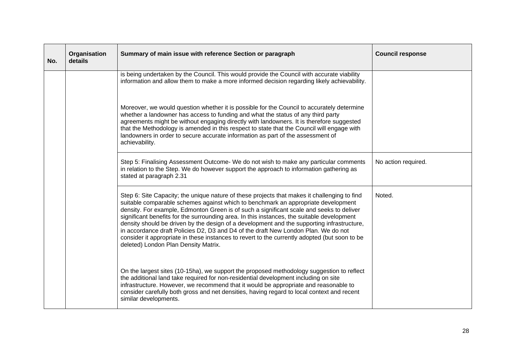| No. | Organisation<br>details | Summary of main issue with reference Section or paragraph                                                                                                                                                                                                                                                                                                                                                                                                                                                                                                                                                                                                                                                | <b>Council response</b> |
|-----|-------------------------|----------------------------------------------------------------------------------------------------------------------------------------------------------------------------------------------------------------------------------------------------------------------------------------------------------------------------------------------------------------------------------------------------------------------------------------------------------------------------------------------------------------------------------------------------------------------------------------------------------------------------------------------------------------------------------------------------------|-------------------------|
|     |                         | is being undertaken by the Council. This would provide the Council with accurate viability<br>information and allow them to make a more informed decision regarding likely achievability.                                                                                                                                                                                                                                                                                                                                                                                                                                                                                                                |                         |
|     |                         | Moreover, we would question whether it is possible for the Council to accurately determine<br>whether a landowner has access to funding and what the status of any third party<br>agreements might be without engaging directly with landowners. It is therefore suggested<br>that the Methodology is amended in this respect to state that the Council will engage with<br>landowners in order to secure accurate information as part of the assessment of<br>achievability.                                                                                                                                                                                                                            |                         |
|     |                         | Step 5: Finalising Assessment Outcome- We do not wish to make any particular comments<br>in relation to the Step. We do however support the approach to information gathering as<br>stated at paragraph 2.31                                                                                                                                                                                                                                                                                                                                                                                                                                                                                             | No action required.     |
|     |                         | Step 6: Site Capacity; the unique nature of these projects that makes it challenging to find<br>suitable comparable schemes against which to benchmark an appropriate development<br>density. For example, Edmonton Green is of such a significant scale and seeks to deliver<br>significant benefits for the surrounding area. In this instances, the suitable development<br>density should be driven by the design of a development and the supporting infrastructure,<br>in accordance draft Policies D2, D3 and D4 of the draft New London Plan. We do not<br>consider it appropriate in these instances to revert to the currently adopted (but soon to be<br>deleted) London Plan Density Matrix. | Noted.                  |
|     |                         | On the largest sites (10-15ha), we support the proposed methodology suggestion to reflect<br>the additional land take required for non-residential development including on site<br>infrastructure. However, we recommend that it would be appropriate and reasonable to<br>consider carefully both gross and net densities, having regard to local context and recent<br>similar developments.                                                                                                                                                                                                                                                                                                          |                         |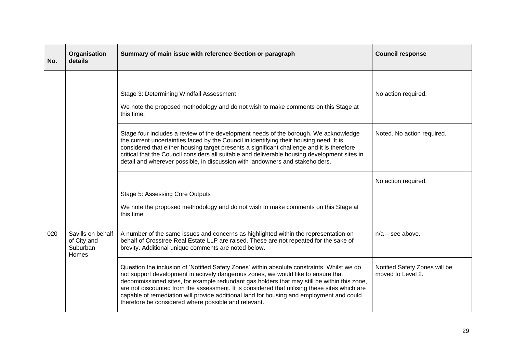| No. | Organisation<br>details                               | Summary of main issue with reference Section or paragraph                                                                                                                                                                                                                                                                                                                                                                                                                                                                            | <b>Council response</b>                            |
|-----|-------------------------------------------------------|--------------------------------------------------------------------------------------------------------------------------------------------------------------------------------------------------------------------------------------------------------------------------------------------------------------------------------------------------------------------------------------------------------------------------------------------------------------------------------------------------------------------------------------|----------------------------------------------------|
|     |                                                       |                                                                                                                                                                                                                                                                                                                                                                                                                                                                                                                                      |                                                    |
|     |                                                       | Stage 3: Determining Windfall Assessment                                                                                                                                                                                                                                                                                                                                                                                                                                                                                             | No action required.                                |
|     |                                                       | We note the proposed methodology and do not wish to make comments on this Stage at<br>this time.                                                                                                                                                                                                                                                                                                                                                                                                                                     |                                                    |
|     |                                                       | Stage four includes a review of the development needs of the borough. We acknowledge<br>the current uncertainties faced by the Council in identifying their housing need. It is<br>considered that either housing target presents a significant challenge and it is therefore<br>critical that the Council considers all suitable and deliverable housing development sites in<br>detail and wherever possible, in discussion with landowners and stakeholders.                                                                      | Noted. No action required.                         |
|     |                                                       |                                                                                                                                                                                                                                                                                                                                                                                                                                                                                                                                      | No action required.                                |
|     |                                                       | Stage 5: Assessing Core Outputs                                                                                                                                                                                                                                                                                                                                                                                                                                                                                                      |                                                    |
|     |                                                       | We note the proposed methodology and do not wish to make comments on this Stage at<br>this time.                                                                                                                                                                                                                                                                                                                                                                                                                                     |                                                    |
| 020 | Savills on behalf<br>of City and<br>Suburban<br>Homes | A number of the same issues and concerns as highlighted within the representation on<br>behalf of Crosstree Real Estate LLP are raised. These are not repeated for the sake of<br>brevity. Additional unique comments are noted below.                                                                                                                                                                                                                                                                                               | $n/a$ – see above.                                 |
|     |                                                       | Question the inclusion of 'Notified Safety Zones' within absolute constraints. Whilst we do<br>not support development in actively dangerous zones, we would like to ensure that<br>decommissioned sites, for example redundant gas holders that may still be within this zone,<br>are not discounted from the assessment. It is considered that utilising these sites which are<br>capable of remediation will provide additional land for housing and employment and could<br>therefore be considered where possible and relevant. | Notified Safety Zones will be<br>moved to Level 2. |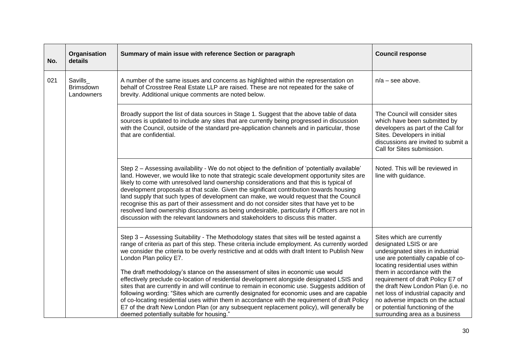| No. | Organisation<br>details                    | Summary of main issue with reference Section or paragraph                                                                                                                                                                                                                                                                                                                                                                                                                                                                                                                                                                                                                                                                                                                                                                                                                                                                                            | <b>Council response</b>                                                                                                                                                                                                                                                                                                                                                                                                     |
|-----|--------------------------------------------|------------------------------------------------------------------------------------------------------------------------------------------------------------------------------------------------------------------------------------------------------------------------------------------------------------------------------------------------------------------------------------------------------------------------------------------------------------------------------------------------------------------------------------------------------------------------------------------------------------------------------------------------------------------------------------------------------------------------------------------------------------------------------------------------------------------------------------------------------------------------------------------------------------------------------------------------------|-----------------------------------------------------------------------------------------------------------------------------------------------------------------------------------------------------------------------------------------------------------------------------------------------------------------------------------------------------------------------------------------------------------------------------|
| 021 | Savills_<br><b>Brimsdown</b><br>Landowners | A number of the same issues and concerns as highlighted within the representation on<br>behalf of Crosstree Real Estate LLP are raised. These are not repeated for the sake of<br>brevity. Additional unique comments are noted below.                                                                                                                                                                                                                                                                                                                                                                                                                                                                                                                                                                                                                                                                                                               | $n/a$ – see above.                                                                                                                                                                                                                                                                                                                                                                                                          |
|     |                                            | Broadly support the list of data sources in Stage 1. Suggest that the above table of data<br>sources is updated to include any sites that are currently being progressed in discussion<br>with the Council, outside of the standard pre-application channels and in particular, those<br>that are confidential.                                                                                                                                                                                                                                                                                                                                                                                                                                                                                                                                                                                                                                      | The Council will consider sites<br>which have been submitted by<br>developers as part of the Call for<br>Sites. Developers in initial<br>discussions are invited to submit a<br>Call for Sites submission.                                                                                                                                                                                                                  |
|     |                                            | Step 2 - Assessing availability - We do not object to the definition of 'potentially available'<br>land. However, we would like to note that strategic scale development opportunity sites are<br>likely to come with unresolved land ownership considerations and that this is typical of<br>development proposals at that scale. Given the significant contribution towards housing<br>land supply that such types of development can make, we would request that the Council<br>recognise this as part of their assessment and do not consider sites that have yet to be<br>resolved land ownership discussions as being undesirable, particularly if Officers are not in<br>discussion with the relevant landowners and stakeholders to discuss this matter.                                                                                                                                                                                     | Noted. This will be reviewed in<br>line with guidance.                                                                                                                                                                                                                                                                                                                                                                      |
|     |                                            | Step 3 - Assessing Suitability - The Methodology states that sites will be tested against a<br>range of criteria as part of this step. These criteria include employment. As currently worded<br>we consider the criteria to be overly restrictive and at odds with draft Intent to Publish New<br>London Plan policy E7.<br>The draft methodology's stance on the assessment of sites in economic use would<br>effectively preclude co-location of residential development alongside designated LSIS and<br>sites that are currently in and will continue to remain in economic use. Suggests addition of<br>following wording: "Sites which are currently designated for economic uses and are capable<br>of co-locating residential uses within them in accordance with the requirement of draft Policy<br>E7 of the draft New London Plan (or any subsequent replacement policy), will generally be<br>deemed potentially suitable for housing." | Sites which are currently<br>designated LSIS or are<br>undesignated sites in industrial<br>use are potentially capable of co-<br>locating residential uses within<br>them in accordance with the<br>requirement of draft Policy E7 of<br>the draft New London Plan (i.e. no<br>net loss of industrial capacity and<br>no adverse impacts on the actual<br>or potential functioning of the<br>surrounding area as a business |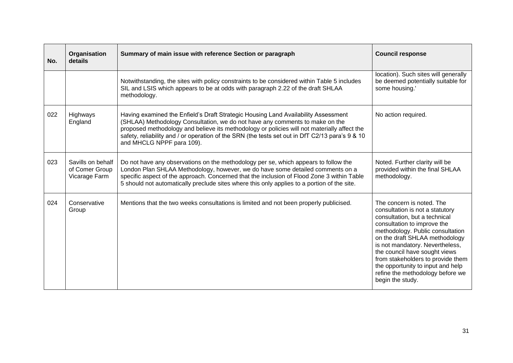| No. | Organisation<br>details                              | Summary of main issue with reference Section or paragraph                                                                                                                                                                                                                                                                                                                                         | <b>Council response</b>                                                                                                                                                                                                                                                                                                                                                                                  |
|-----|------------------------------------------------------|---------------------------------------------------------------------------------------------------------------------------------------------------------------------------------------------------------------------------------------------------------------------------------------------------------------------------------------------------------------------------------------------------|----------------------------------------------------------------------------------------------------------------------------------------------------------------------------------------------------------------------------------------------------------------------------------------------------------------------------------------------------------------------------------------------------------|
|     |                                                      | Notwithstanding, the sites with policy constraints to be considered within Table 5 includes<br>SIL and LSIS which appears to be at odds with paragraph 2.22 of the draft SHLAA<br>methodology.                                                                                                                                                                                                    | location). Such sites will generally<br>be deemed potentially suitable for<br>some housing.'                                                                                                                                                                                                                                                                                                             |
| 022 | Highways<br>England                                  | Having examined the Enfield's Draft Strategic Housing Land Availability Assessment<br>(SHLAA) Methodology Consultation, we do not have any comments to make on the<br>proposed methodology and believe its methodology or policies will not materially affect the<br>safety, reliability and / or operation of the SRN (the tests set out in DfT C2/13 para's 9 & 10<br>and MHCLG NPPF para 109). | No action required.                                                                                                                                                                                                                                                                                                                                                                                      |
| 023 | Savills on behalf<br>of Comer Group<br>Vicarage Farm | Do not have any observations on the methodology per se, which appears to follow the<br>London Plan SHLAA Methodology, however, we do have some detailed comments on a<br>specific aspect of the approach. Concerned that the inclusion of Flood Zone 3 within Table<br>5 should not automatically preclude sites where this only applies to a portion of the site.                                | Noted. Further clarity will be<br>provided within the final SHLAA<br>methodology.                                                                                                                                                                                                                                                                                                                        |
| 024 | Conservative<br>Group                                | Mentions that the two weeks consultations is limited and not been properly publicised.                                                                                                                                                                                                                                                                                                            | The concern is noted. The<br>consultation is not a statutory<br>consultation, but a technical<br>consultation to improve the<br>methodology. Public consultation<br>on the draft SHLAA methodology<br>is not mandatory. Nevertheless,<br>the council have sought views<br>from stakeholders to provide them<br>the opportunity to input and help<br>refine the methodology before we<br>begin the study. |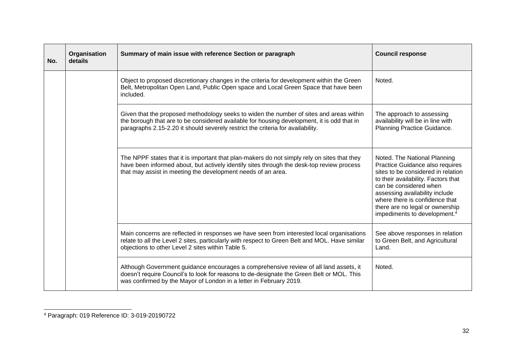| No. | Organisation<br>details | Summary of main issue with reference Section or paragraph                                                                                                                                                                                                                | <b>Council response</b>                                                                                                                                                                                                                                                                                                   |
|-----|-------------------------|--------------------------------------------------------------------------------------------------------------------------------------------------------------------------------------------------------------------------------------------------------------------------|---------------------------------------------------------------------------------------------------------------------------------------------------------------------------------------------------------------------------------------------------------------------------------------------------------------------------|
|     |                         | Object to proposed discretionary changes in the criteria for development within the Green<br>Belt, Metropolitan Open Land, Public Open space and Local Green Space that have been<br>included.                                                                           | Noted.                                                                                                                                                                                                                                                                                                                    |
|     |                         | Given that the proposed methodology seeks to widen the number of sites and areas within<br>the borough that are to be considered available for housing development, it is odd that in<br>paragraphs 2.15-2.20 it should severely restrict the criteria for availability. | The approach to assessing<br>availability will be in line with<br>Planning Practice Guidance.                                                                                                                                                                                                                             |
|     |                         | The NPPF states that it is important that plan-makers do not simply rely on sites that they<br>have been informed about, but actively identify sites through the desk-top review process<br>that may assist in meeting the development needs of an area.                 | Noted. The National Planning<br>Practice Guidance also requires<br>sites to be considered in relation<br>to their availability. Factors that<br>can be considered when<br>assessing availability include<br>where there is confidence that<br>there are no legal or ownership<br>impediments to development. <sup>4</sup> |
|     |                         | Main concerns are reflected in responses we have seen from interested local organisations<br>relate to all the Level 2 sites, particularly with respect to Green Belt and MOL. Have similar<br>objections to other Level 2 sites within Table 5.                         | See above responses in relation<br>to Green Belt, and Agricultural<br>Land.                                                                                                                                                                                                                                               |
|     |                         | Although Government guidance encourages a comprehensive review of all land assets, it<br>doesn't require Council's to look for reasons to de-designate the Green Belt or MOL. This<br>was confirmed by the Mayor of London in a letter in February 2019.                 | Noted.                                                                                                                                                                                                                                                                                                                    |

<sup>4</sup> Paragraph: 019 Reference ID: 3-019-20190722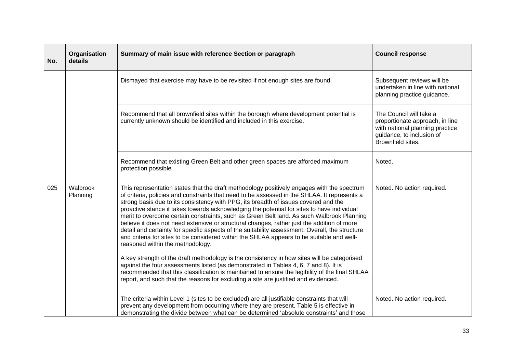| No. | Organisation<br>details | Summary of main issue with reference Section or paragraph                                                                                                                                                                                                                                                                                                                                                                                                                                                                                                                                                                                                                                                                                                                                                                                                                                                                                                                                                                                                                                                                                                                                      | <b>Council response</b>                                                                                                                         |
|-----|-------------------------|------------------------------------------------------------------------------------------------------------------------------------------------------------------------------------------------------------------------------------------------------------------------------------------------------------------------------------------------------------------------------------------------------------------------------------------------------------------------------------------------------------------------------------------------------------------------------------------------------------------------------------------------------------------------------------------------------------------------------------------------------------------------------------------------------------------------------------------------------------------------------------------------------------------------------------------------------------------------------------------------------------------------------------------------------------------------------------------------------------------------------------------------------------------------------------------------|-------------------------------------------------------------------------------------------------------------------------------------------------|
|     |                         | Dismayed that exercise may have to be revisited if not enough sites are found.                                                                                                                                                                                                                                                                                                                                                                                                                                                                                                                                                                                                                                                                                                                                                                                                                                                                                                                                                                                                                                                                                                                 | Subsequent reviews will be<br>undertaken in line with national<br>planning practice guidance.                                                   |
|     |                         | Recommend that all brownfield sites within the borough where development potential is<br>currently unknown should be identified and included in this exercise.                                                                                                                                                                                                                                                                                                                                                                                                                                                                                                                                                                                                                                                                                                                                                                                                                                                                                                                                                                                                                                 | The Council will take a<br>proportionate approach, in line<br>with national planning practice<br>guidance, to inclusion of<br>Brownfield sites. |
|     |                         | Recommend that existing Green Belt and other green spaces are afforded maximum<br>protection possible.                                                                                                                                                                                                                                                                                                                                                                                                                                                                                                                                                                                                                                                                                                                                                                                                                                                                                                                                                                                                                                                                                         | Noted.                                                                                                                                          |
| 025 | Walbrook<br>Planning    | This representation states that the draft methodology positively engages with the spectrum<br>of criteria, policies and constraints that need to be assessed in the SHLAA. It represents a<br>strong basis due to its consistency with PPG, its breadth of issues covered and the<br>proactive stance it takes towards acknowledging the potential for sites to have individual<br>merit to overcome certain constraints, such as Green Belt land. As such Walbrook Planning<br>believe it does not need extensive or structural changes, rather just the addition of more<br>detail and certainty for specific aspects of the suitability assessment. Overall, the structure<br>and criteria for sites to be considered within the SHLAA appears to be suitable and well-<br>reasoned within the methodology.<br>A key strength of the draft methodology is the consistency in how sites will be categorised<br>against the four assessments listed (as demonstrated in Tables 4, 6, 7 and 8). It is<br>recommended that this classification is maintained to ensure the legibility of the final SHLAA<br>report, and such that the reasons for excluding a site are justified and evidenced. | Noted. No action required.                                                                                                                      |
|     |                         | The criteria within Level 1 (sites to be excluded) are all justifiable constraints that will<br>prevent any development from occurring where they are present. Table 5 is effective in<br>demonstrating the divide between what can be determined 'absolute constraints' and those                                                                                                                                                                                                                                                                                                                                                                                                                                                                                                                                                                                                                                                                                                                                                                                                                                                                                                             | Noted. No action required.                                                                                                                      |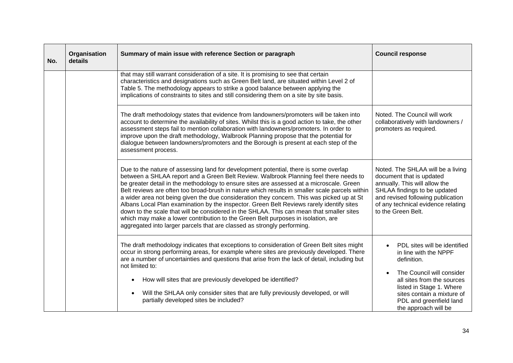| No. | Organisation<br>details | Summary of main issue with reference Section or paragraph                                                                                                                                                                                                                                                                                                                                                                                                                                                                                                                                                                                                                                                                                                                                                                       | <b>Council response</b>                                                                                                                                                                                                                      |
|-----|-------------------------|---------------------------------------------------------------------------------------------------------------------------------------------------------------------------------------------------------------------------------------------------------------------------------------------------------------------------------------------------------------------------------------------------------------------------------------------------------------------------------------------------------------------------------------------------------------------------------------------------------------------------------------------------------------------------------------------------------------------------------------------------------------------------------------------------------------------------------|----------------------------------------------------------------------------------------------------------------------------------------------------------------------------------------------------------------------------------------------|
|     |                         | that may still warrant consideration of a site. It is promising to see that certain<br>characteristics and designations such as Green Belt land, are situated within Level 2 of<br>Table 5. The methodology appears to strike a good balance between applying the<br>implications of constraints to sites and still considering them on a site by site basis.                                                                                                                                                                                                                                                                                                                                                                                                                                                                   |                                                                                                                                                                                                                                              |
|     |                         | The draft methodology states that evidence from landowners/promoters will be taken into<br>account to determine the availability of sites. Whilst this is a good action to take, the other<br>assessment steps fail to mention collaboration with landowners/promoters. In order to<br>improve upon the draft methodology, Walbrook Planning propose that the potential for<br>dialogue between landowners/promoters and the Borough is present at each step of the<br>assessment process.                                                                                                                                                                                                                                                                                                                                      | Noted. The Council will work<br>collaboratively with landowners /<br>promoters as required.                                                                                                                                                  |
|     |                         | Due to the nature of assessing land for development potential, there is some overlap<br>between a SHLAA report and a Green Belt Review. Walbrook Planning feel there needs to<br>be greater detail in the methodology to ensure sites are assessed at a microscale. Green<br>Belt reviews are often too broad-brush in nature which results in smaller scale parcels within<br>a wider area not being given the due consideration they concern. This was picked up at St<br>Albans Local Plan examination by the inspector. Green Belt Reviews rarely identify sites<br>down to the scale that will be considered in the SHLAA. This can mean that smaller sites<br>which may make a lower contribution to the Green Belt purposes in isolation, are<br>aggregated into larger parcels that are classed as strongly performing. | Noted. The SHLAA will be a living<br>document that is updated<br>annually. This will allow the<br>SHLAA findings to be updated<br>and revised following publication<br>of any technical evidence relating<br>to the Green Belt.              |
|     |                         | The draft methodology indicates that exceptions to consideration of Green Belt sites might<br>occur in strong performing areas, for example where sites are previously developed. There<br>are a number of uncertainties and questions that arise from the lack of detail, including but<br>not limited to:<br>How will sites that are previously developed be identified?<br>$\bullet$<br>Will the SHLAA only consider sites that are fully previously developed, or will<br>$\bullet$<br>partially developed sites be included?                                                                                                                                                                                                                                                                                               | PDL sites will be identified<br>in line with the NPPF<br>definition.<br>The Council will consider<br>all sites from the sources<br>listed in Stage 1. Where<br>sites contain a mixture of<br>PDL and greenfield land<br>the approach will be |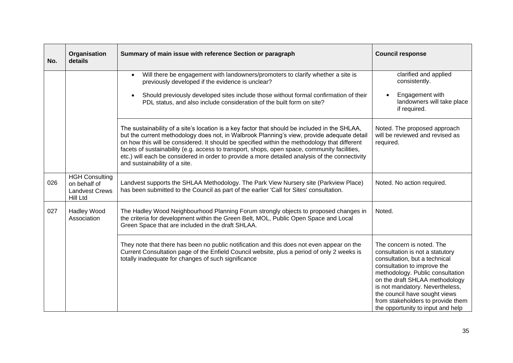| No. | Organisation<br>details                                                    | Summary of main issue with reference Section or paragraph                                                                                                                                                                                                                                                                                                                                                                                                                                                                      | <b>Council response</b>                                                                                                                                                                                                                                                                                                                          |
|-----|----------------------------------------------------------------------------|--------------------------------------------------------------------------------------------------------------------------------------------------------------------------------------------------------------------------------------------------------------------------------------------------------------------------------------------------------------------------------------------------------------------------------------------------------------------------------------------------------------------------------|--------------------------------------------------------------------------------------------------------------------------------------------------------------------------------------------------------------------------------------------------------------------------------------------------------------------------------------------------|
|     |                                                                            | Will there be engagement with landowners/promoters to clarify whether a site is<br>$\bullet$<br>previously developed if the evidence is unclear?<br>Should previously developed sites include those without formal confirmation of their<br>$\bullet$<br>PDL status, and also include consideration of the built form on site?                                                                                                                                                                                                 | clarified and applied<br>consistently.<br>Engagement with<br>landowners will take place<br>if required.                                                                                                                                                                                                                                          |
|     |                                                                            | The sustainability of a site's location is a key factor that should be included in the SHLAA,<br>but the current methodology does not, in Walbrook Planning's view, provide adequate detail<br>on how this will be considered. It should be specified within the methodology that different<br>facets of sustainability (e.g. access to transport, shops, open space, community facilities,<br>etc.) will each be considered in order to provide a more detailed analysis of the connectivity<br>and sustainability of a site. | Noted. The proposed approach<br>will be reviewed and revised as<br>required.                                                                                                                                                                                                                                                                     |
| 026 | <b>HGH Consulting</b><br>on behalf of<br><b>Landvest Crews</b><br>Hill Ltd | Landvest supports the SHLAA Methodology. The Park View Nursery site (Parkview Place)<br>has been submitted to the Council as part of the earlier 'Call for Sites' consultation.                                                                                                                                                                                                                                                                                                                                                | Noted. No action required.                                                                                                                                                                                                                                                                                                                       |
| 027 | Hadley Wood<br>Association                                                 | The Hadley Wood Neighbourhood Planning Forum strongly objects to proposed changes in<br>the criteria for development within the Green Belt, MOL, Public Open Space and Local<br>Green Space that are included in the draft SHLAA.                                                                                                                                                                                                                                                                                              | Noted.                                                                                                                                                                                                                                                                                                                                           |
|     |                                                                            | They note that there has been no public notification and this does not even appear on the<br>Current Consultation page of the Enfield Council website, plus a period of only 2 weeks is<br>totally inadequate for changes of such significance                                                                                                                                                                                                                                                                                 | The concern is noted. The<br>consultation is not a statutory<br>consultation, but a technical<br>consultation to improve the<br>methodology. Public consultation<br>on the draft SHLAA methodology<br>is not mandatory. Nevertheless,<br>the council have sought views<br>from stakeholders to provide them<br>the opportunity to input and help |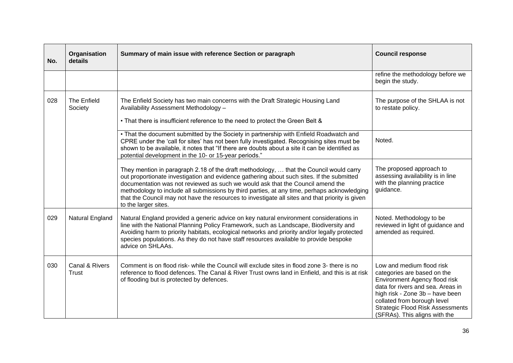| No. | Organisation<br>details        | Summary of main issue with reference Section or paragraph                                                                                                                                                                                                                                                                                                                                                                                                                                       | <b>Council response</b>                                                                                                                                                                                                                                                      |
|-----|--------------------------------|-------------------------------------------------------------------------------------------------------------------------------------------------------------------------------------------------------------------------------------------------------------------------------------------------------------------------------------------------------------------------------------------------------------------------------------------------------------------------------------------------|------------------------------------------------------------------------------------------------------------------------------------------------------------------------------------------------------------------------------------------------------------------------------|
|     |                                |                                                                                                                                                                                                                                                                                                                                                                                                                                                                                                 | refine the methodology before we<br>begin the study.                                                                                                                                                                                                                         |
| 028 | The Enfield<br>Society         | The Enfield Society has two main concerns with the Draft Strategic Housing Land<br>Availability Assessment Methodology -<br>• That there is insufficient reference to the need to protect the Green Belt &                                                                                                                                                                                                                                                                                      | The purpose of the SHLAA is not<br>to restate policy.                                                                                                                                                                                                                        |
|     |                                | . That the document submitted by the Society in partnership with Enfield Roadwatch and<br>CPRE under the 'call for sites' has not been fully investigated. Recognising sites must be<br>shown to be available, it notes that "If there are doubts about a site it can be identified as<br>potential development in the 10- or 15-year periods."                                                                                                                                                 | Noted.                                                                                                                                                                                                                                                                       |
|     |                                | They mention in paragraph 2.18 of the draft methodology,  that the Council would carry<br>out proportionate investigation and evidence gathering about such sites. If the submitted<br>documentation was not reviewed as such we would ask that the Council amend the<br>methodology to include all submissions by third parties, at any time, perhaps acknowledging<br>that the Council may not have the resources to investigate all sites and that priority is given<br>to the larger sites. | The proposed approach to<br>assessing availability is in line<br>with the planning practice<br>guidance.                                                                                                                                                                     |
| 029 | Natural England                | Natural England provided a generic advice on key natural environment considerations in<br>line with the National Planning Policy Framework, such as Landscape, Biodiversity and<br>Avoiding harm to priority habitats, ecological networks and priority and/or legally protected<br>species populations. As they do not have staff resources available to provide bespoke<br>advice on SHLAAs.                                                                                                  | Noted. Methodology to be<br>reviewed in light of guidance and<br>amended as required.                                                                                                                                                                                        |
| 030 | Canal & Rivers<br><b>Trust</b> | Comment is on flood risk- while the Council will exclude sites in flood zone 3- there is no<br>reference to flood defences. The Canal & River Trust owns land in Enfield, and this is at risk<br>of flooding but is protected by defences.                                                                                                                                                                                                                                                      | Low and medium flood risk<br>categories are based on the<br>Environment Agency flood risk<br>data for rivers and sea. Areas in<br>high risk - Zone 3b - have been<br>collated from borough level<br><b>Strategic Flood Risk Assessments</b><br>(SFRAs). This aligns with the |